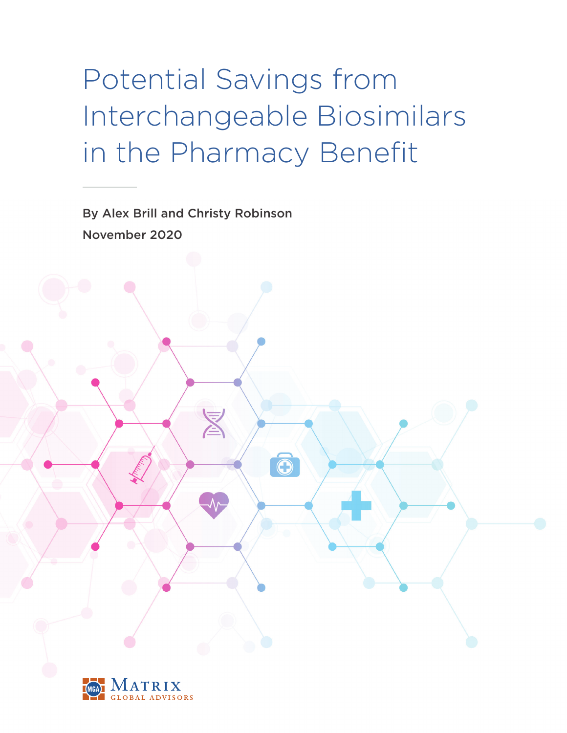# Potential Savings from Interchangeable Biosimilars in the Pharmacy Benefit

 $\ddot{\text{o}}$ 

By Alex Brill and Christy Robinson November 2020

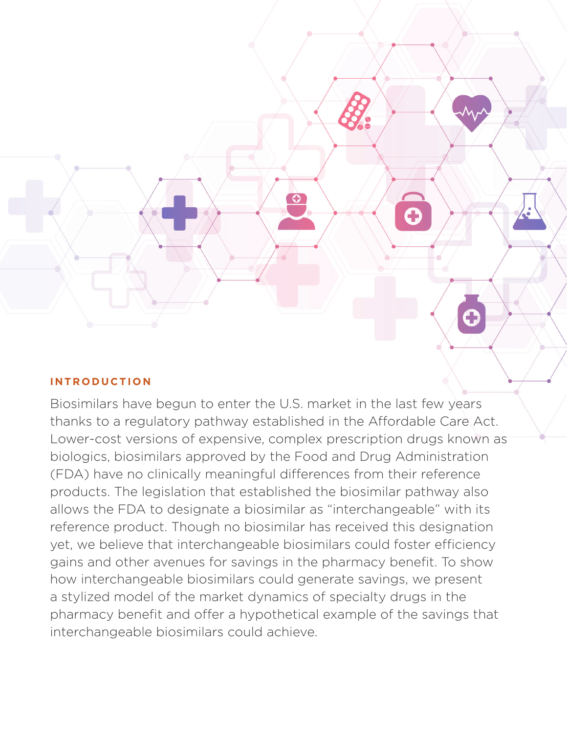

# **INTRODUCTION**

Biosimilars have begun to enter the U.S. market in the last few years thanks to a regulatory pathway established in the Affordable Care Act. Lower-cost versions of expensive, complex prescription drugs known as biologics, biosimilars approved by the Food and Drug Administration (FDA) have no clinically meaningful differences from their reference products. The legislation that established the biosimilar pathway also allows the FDA to designate a biosimilar as "interchangeable" with its reference product. Though no biosimilar has received this designation yet, we believe that interchangeable biosimilars could foster efficiency gains and other avenues for savings in the pharmacy benefit. To show how interchangeable biosimilars could generate savings, we present a stylized model of the market dynamics of specialty drugs in the pharmacy benefit and offer a hypothetical example of the savings that interchangeable biosimilars could achieve.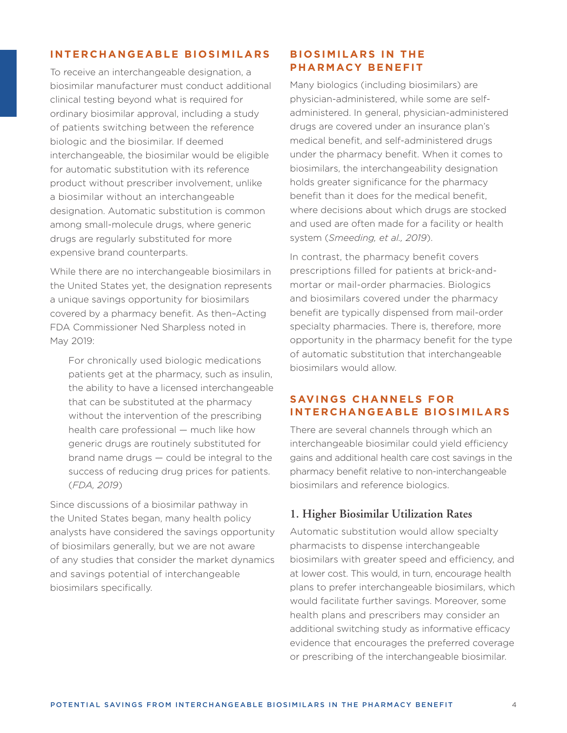#### **INTERCHANGEABLE BIOSIMILARS**

To receive an interchangeable designation, a biosimilar manufacturer must conduct additional clinical testing beyond what is required for ordinary biosimilar approval, including a study of patients switching between the reference biologic and the biosimilar. If deemed interchangeable, the biosimilar would be eligible for automatic substitution with its reference product without prescriber involvement, unlike a biosimilar without an interchangeable designation. Automatic substitution is common among small-molecule drugs, where generic drugs are regularly substituted for more expensive brand counterparts.

While there are no interchangeable biosimilars in the United States yet, the designation represents a unique savings opportunity for biosimilars covered by a pharmacy benefit. As then–Acting FDA Commissioner Ned Sharpless noted in May 2019:

 For chronically used biologic medications patients get at the pharmacy, such as insulin, the ability to have a licensed interchangeable that can be substituted at the pharmacy without the intervention of the prescribing health care professional — much like how generic drugs are routinely substituted for brand name drugs — could be integral to the success of reducing drug prices for patients. (*FDA, 2019*)

Since discussions of a biosimilar pathway in the United States began, many health policy analysts have considered the savings opportunity of biosimilars generally, but we are not aware of any studies that consider the market dynamics and savings potential of interchangeable biosimilars specifically.

#### **BIOSIMILARS IN THE PHARMACY BENEFIT**

Many biologics (including biosimilars) are physician-administered, while some are selfadministered. In general, physician-administered drugs are covered under an insurance plan's medical benefit, and self-administered drugs under the pharmacy benefit. When it comes to biosimilars, the interchangeability designation holds greater significance for the pharmacy benefit than it does for the medical benefit, where decisions about which drugs are stocked and used are often made for a facility or health system (*Smeeding, et al., 2019*).

In contrast, the pharmacy benefit covers prescriptions filled for patients at brick-andmortar or mail-order pharmacies. Biologics and biosimilars covered under the pharmacy benefit are typically dispensed from mail-order specialty pharmacies. There is, therefore, more opportunity in the pharmacy benefit for the type of automatic substitution that interchangeable biosimilars would allow.

# SAVINGS CHANNELS FOR **INTERCHANGEABLE BIOSIMILARS**

There are several channels through which an interchangeable biosimilar could yield efficiency gains and additional health care cost savings in the pharmacy benefit relative to non-interchangeable biosimilars and reference biologics.

# **1. Higher Biosimilar Utilization Rates**

Automatic substitution would allow specialty pharmacists to dispense interchangeable biosimilars with greater speed and efficiency, and at lower cost. This would, in turn, encourage health plans to prefer interchangeable biosimilars, which would facilitate further savings. Moreover, some health plans and prescribers may consider an additional switching study as informative efficacy evidence that encourages the preferred coverage or prescribing of the interchangeable biosimilar.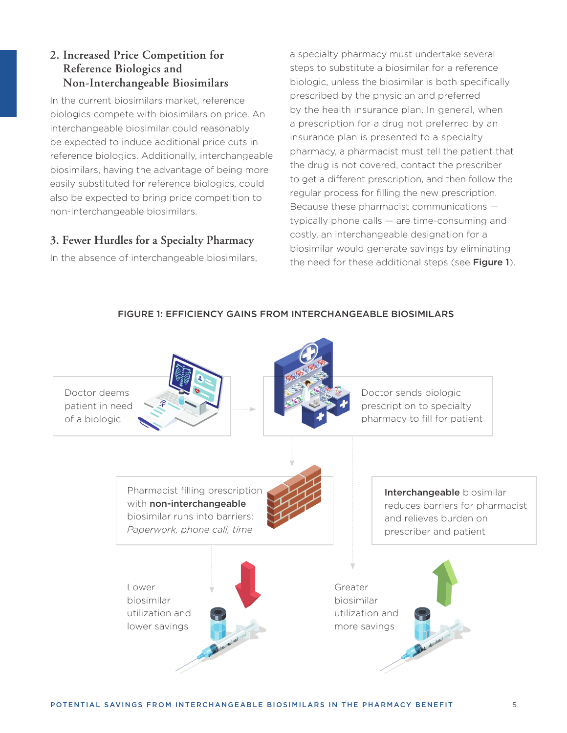# **2. Increased Price Competition for Reference Biologics and Non-Interchangeable Biosimilars**

In the current biosimilars market, reference biologics compete with biosimilars on price. An interchangeable biosimilar could reasonably be expected to induce additional price cuts in reference biologics. Additionally, interchangeable biosimilars, having the advantage of being more easily substituted for reference biologics, could also be expected to bring price competition to non-interchangeable biosimilars.

# **3. Fewer Hurdles for a Specialty Pharmacy**

In the absence of interchangeable biosimilars,

a specialty pharmacy must undertake several steps to substitute a biosimilar for a reference biologic, unless the biosimilar is both specifically prescribed by the physician and preferred by the health insurance plan. In general, when a prescription for a drug not preferred by an insurance plan is presented to a specialty pharmacy, a pharmacist must tell the patient that the drug is not covered, contact the prescriber to get a different prescription, and then follow the regular process for filling the new prescription. Because these pharmacist communications typically phone calls — are time-consuming and costly, an interchangeable designation for a biosimilar would generate savings by eliminating the need for these additional steps (see Figure 1).



FIGURE 1: EFFICIENCY GAINS FROM INTERCHANGEABLE BIOSIMILARS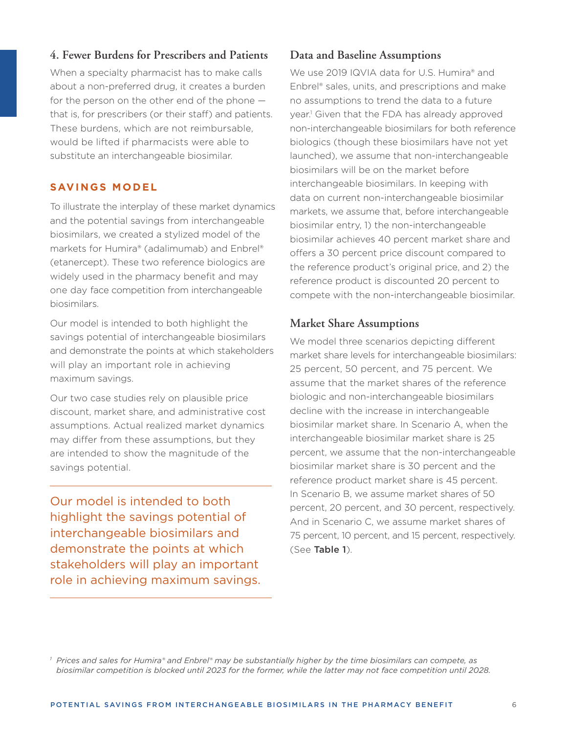# **4. Fewer Burdens for Prescribers and Patients**

When a specialty pharmacist has to make calls about a non-preferred drug, it creates a burden for the person on the other end of the phone that is, for prescribers (or their staff) and patients. These burdens, which are not reimbursable, would be lifted if pharmacists were able to substitute an interchangeable biosimilar.

#### **SAVINGS MODEL**

To illustrate the interplay of these market dynamics and the potential savings from interchangeable biosimilars, we created a stylized model of the markets for Humira® (adalimumab) and Enbrel® (etanercept). These two reference biologics are widely used in the pharmacy benefit and may one day face competition from interchangeable biosimilars.

Our model is intended to both highlight the savings potential of interchangeable biosimilars and demonstrate the points at which stakeholders will play an important role in achieving maximum savings.

Our two case studies rely on plausible price discount, market share, and administrative cost assumptions. Actual realized market dynamics may differ from these assumptions, but they are intended to show the magnitude of the savings potential.

Our model is intended to both highlight the savings potential of interchangeable biosimilars and demonstrate the points at which stakeholders will play an important role in achieving maximum savings.

# **Data and Baseline Assumptions**

We use 2019 IQVIA data for U.S. Humira® and Enbrel® sales, units, and prescriptions and make no assumptions to trend the data to a future year.1 Given that the FDA has already approved non-interchangeable biosimilars for both reference biologics (though these biosimilars have not yet launched), we assume that non-interchangeable biosimilars will be on the market before interchangeable biosimilars. In keeping with data on current non-interchangeable biosimilar markets, we assume that, before interchangeable biosimilar entry, 1) the non-interchangeable biosimilar achieves 40 percent market share and offers a 30 percent price discount compared to the reference product's original price, and 2) the reference product is discounted 20 percent to compete with the non-interchangeable biosimilar.

# **Market Share Assumptions**

We model three scenarios depicting different market share levels for interchangeable biosimilars: 25 percent, 50 percent, and 75 percent. We assume that the market shares of the reference biologic and non-interchangeable biosimilars decline with the increase in interchangeable biosimilar market share. In Scenario A, when the interchangeable biosimilar market share is 25 percent, we assume that the non-interchangeable biosimilar market share is 30 percent and the reference product market share is 45 percent. In Scenario B, we assume market shares of 50 percent, 20 percent, and 30 percent, respectively. And in Scenario C, we assume market shares of 75 percent, 10 percent, and 15 percent, respectively. (See Table 1).

*<sup>1</sup> Prices and sales for Humira® and Enbrel® may be substantially higher by the time biosimilars can compete, as biosimilar competition is blocked until 2023 for the former, while the latter may not face competition until 2028.*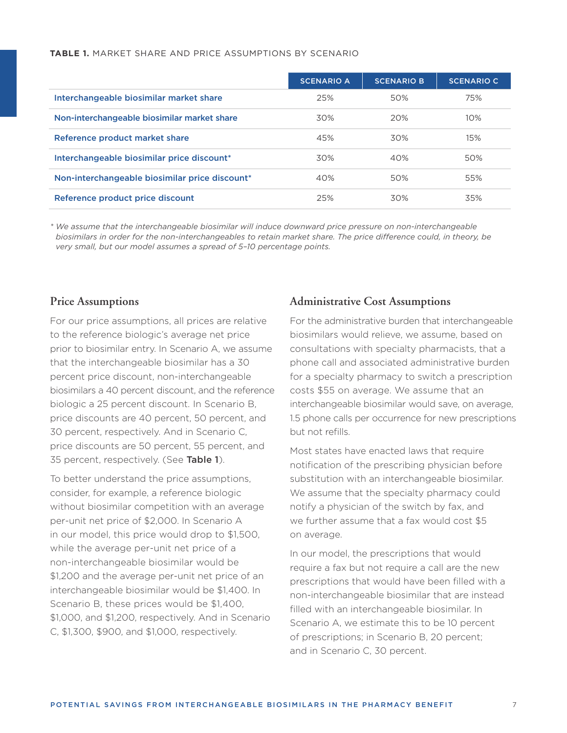#### **TABLE 1.** MARKET SHARE AND PRICE ASSUMPTIONS BY SCENARIO

|                                                | <b>SCENARIO A</b> | <b>SCENARIO B</b> | <b>SCENARIO C</b> |
|------------------------------------------------|-------------------|-------------------|-------------------|
| Interchangeable biosimilar market share        | 25%               | 50%               | 75%               |
| Non-interchangeable biosimilar market share    | 30%               | 20%               | 10%               |
| Reference product market share                 | 45%               | 30%               | 15%               |
| Interchangeable biosimilar price discount*     | 30%               | 40%               | 50%               |
| Non-interchangeable biosimilar price discount* | 40%               | 50%               | 55%               |
| Reference product price discount               | 25%               | 30%               | 35%               |

*\* We assume that the interchangeable biosimilar will induce downward price pressure on non-interchangeable biosimilars in order for the non-interchangeables to retain market share. The price difference could, in theory, be very small, but our model assumes a spread of 5–10 percentage points.* 

#### **Price Assumptions**

For our price assumptions, all prices are relative to the reference biologic's average net price prior to biosimilar entry. In Scenario A, we assume that the interchangeable biosimilar has a 30 percent price discount, non-interchangeable biosimilars a 40 percent discount, and the reference biologic a 25 percent discount. In Scenario B, price discounts are 40 percent, 50 percent, and 30 percent, respectively. And in Scenario C, price discounts are 50 percent, 55 percent, and 35 percent, respectively. (See Table 1).

To better understand the price assumptions, consider, for example, a reference biologic without biosimilar competition with an average per-unit net price of \$2,000. In Scenario A in our model, this price would drop to \$1,500, while the average per-unit net price of a non-interchangeable biosimilar would be \$1,200 and the average per-unit net price of an interchangeable biosimilar would be \$1,400. In Scenario B, these prices would be \$1,400, \$1,000, and \$1,200, respectively. And in Scenario C, \$1,300, \$900, and \$1,000, respectively.

#### **Administrative Cost Assumptions**

For the administrative burden that interchangeable biosimilars would relieve, we assume, based on consultations with specialty pharmacists, that a phone call and associated administrative burden for a specialty pharmacy to switch a prescription costs \$55 on average. We assume that an interchangeable biosimilar would save, on average, 1.5 phone calls per occurrence for new prescriptions but not refills.

Most states have enacted laws that require notification of the prescribing physician before substitution with an interchangeable biosimilar. We assume that the specialty pharmacy could notify a physician of the switch by fax, and we further assume that a fax would cost \$5 on average.

In our model, the prescriptions that would require a fax but not require a call are the new prescriptions that would have been filled with a non-interchangeable biosimilar that are instead filled with an interchangeable biosimilar. In Scenario A, we estimate this to be 10 percent of prescriptions; in Scenario B, 20 percent; and in Scenario C, 30 percent.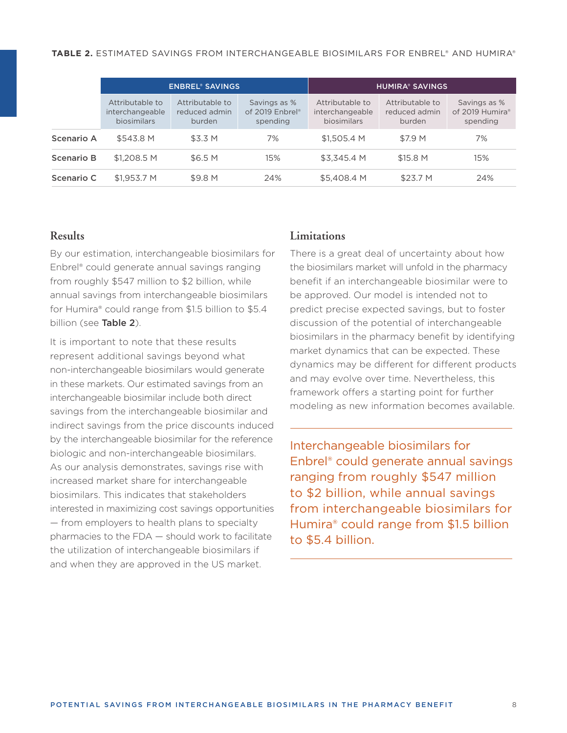|                   | <b>ENBREL® SAVINGS</b>                                   |                                            |                                             | <b>HUMIRA® SAVINGS</b>                            |                                            |                                             |
|-------------------|----------------------------------------------------------|--------------------------------------------|---------------------------------------------|---------------------------------------------------|--------------------------------------------|---------------------------------------------|
|                   | Attributable to<br>interchangeable<br><b>biosimilars</b> | Attributable to<br>reduced admin<br>burden | Savings as %<br>of 2019 Enbrel®<br>spending | Attributable to<br>interchangeable<br>biosimilars | Attributable to<br>reduced admin<br>burden | Savings as %<br>of 2019 Humira®<br>spending |
| Scenario A        | \$543.8 M                                                | \$3.3 M                                    | 7%                                          | \$1,505.4 M                                       | \$7.9 M                                    | 7%                                          |
| <b>Scenario B</b> | \$1,208.5 M                                              | \$6.5 M                                    | 15%                                         | \$3.345.4 M                                       | \$15.8 M                                   | 15%                                         |
| Scenario C        | \$1,953.7 M                                              | \$9.8 M                                    | 24%                                         | \$5,408.4 M                                       | \$23.7 M                                   | 24%                                         |

## **Results**

By our estimation, interchangeable biosimilars for Enbrel® could generate annual savings ranging from roughly \$547 million to \$2 billion, while annual savings from interchangeable biosimilars for Humira® could range from \$1.5 billion to \$5.4 billion (see **Table 2**).

It is important to note that these results represent additional savings beyond what non-interchangeable biosimilars would generate in these markets. Our estimated savings from an interchangeable biosimilar include both direct savings from the interchangeable biosimilar and indirect savings from the price discounts induced by the interchangeable biosimilar for the reference biologic and non-interchangeable biosimilars. As our analysis demonstrates, savings rise with increased market share for interchangeable biosimilars. This indicates that stakeholders interested in maximizing cost savings opportunities — from employers to health plans to specialty pharmacies to the FDA — should work to facilitate the utilization of interchangeable biosimilars if and when they are approved in the US market.

#### **Limitations**

There is a great deal of uncertainty about how the biosimilars market will unfold in the pharmacy benefit if an interchangeable biosimilar were to be approved. Our model is intended not to predict precise expected savings, but to foster discussion of the potential of interchangeable biosimilars in the pharmacy benefit by identifying market dynamics that can be expected. These dynamics may be different for different products and may evolve over time. Nevertheless, this framework offers a starting point for further modeling as new information becomes available.

Interchangeable biosimilars for Enbrel® could generate annual savings ranging from roughly \$547 million to \$2 billion, while annual savings from interchangeable biosimilars for Humira® could range from \$1.5 billion to \$5.4 billion.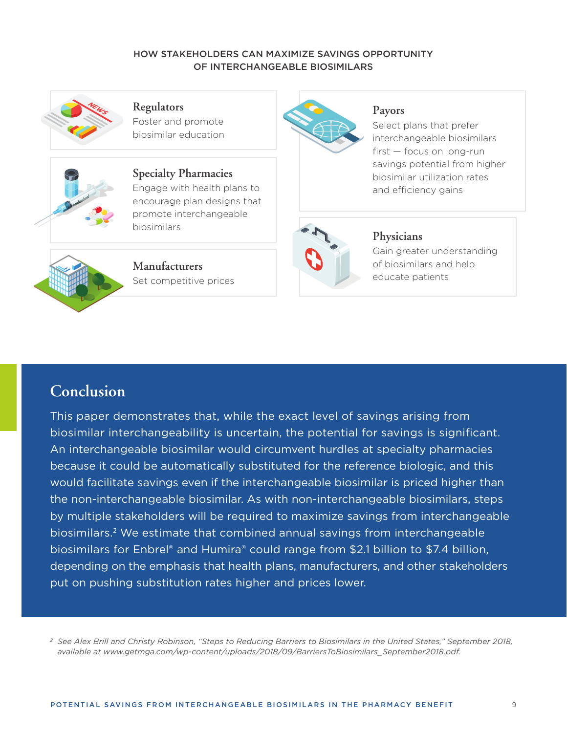#### HOW STAKEHOLDERS CAN MAXIMIZE SAVINGS OPPORTUNITY OF INTERCHANGEABLE BIOSIMILARS



**Regulators**  Foster and promote

biosimilar education



**Specialty Pharmacies** Engage with health plans to encourage plan designs that promote interchangeable biosimilars



**Manufacturers** Set competitive prices



#### **Payors**

Select plans that prefer interchangeable biosimilars first — focus on long-run savings potential from higher biosimilar utilization rates and efficiency gains



# **Physicians**

Gain greater understanding of biosimilars and help educate patients

# **Conclusion**

This paper demonstrates that, while the exact level of savings arising from biosimilar interchangeability is uncertain, the potential for savings is significant. An interchangeable biosimilar would circumvent hurdles at specialty pharmacies because it could be automatically substituted for the reference biologic, and this would facilitate savings even if the interchangeable biosimilar is priced higher than the non-interchangeable biosimilar. As with non-interchangeable biosimilars, steps by multiple stakeholders will be required to maximize savings from interchangeable biosimilars.2 We estimate that combined annual savings from interchangeable biosimilars for Enbrel® and Humira® could range from \$2.1 billion to \$7.4 billion, depending on the emphasis that health plans, manufacturers, and other stakeholders put on pushing substitution rates higher and prices lower.

*2 See Alex Brill and Christy Robinson, "Steps to Reducing Barriers to Biosimilars in the United States," September 2018, available at [www.getmga.com/wp-content/uploads/2018/09/BarriersToBiosimilars\\_September2018.pdf](http://www.getmga.com/wp-content/uploads/2018/09/BarriersToBiosimilars_September2018.pdf).*